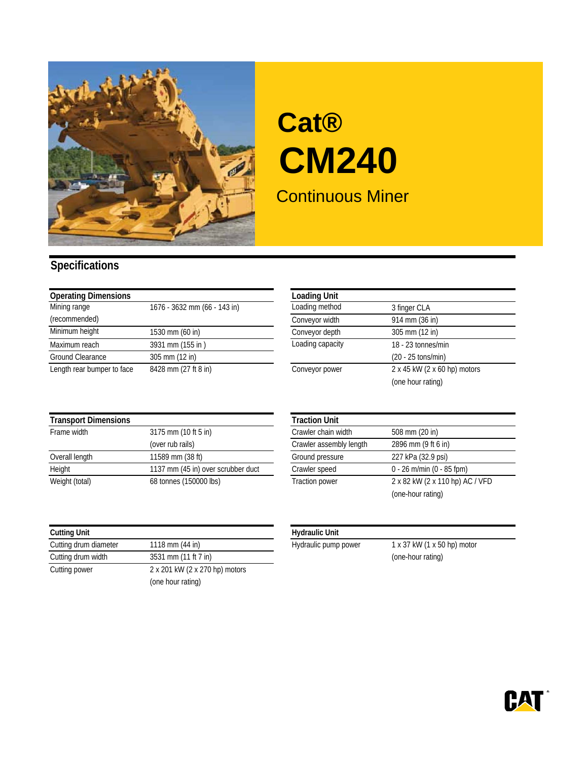

# Continuous Miner **Cat® CM240**

### **Specifications**

| <b>Operating Dimensions</b> |                              | <b>Loading Unit</b> |                              |
|-----------------------------|------------------------------|---------------------|------------------------------|
| Mining range                | 1676 - 3632 mm (66 - 143 in) | Loading method      | 3 finger CLA                 |
| (recommended)               |                              | Conveyor width      | 914 mm (36 in)               |
| Minimum height              | 1530 mm (60 in)              | Conveyor depth      | 305 mm (12 in)               |
| Maximum reach               | 3931 mm (155 in)             | Loading capacity    | 18 - 23 tonnes/min           |
| Ground Clearance            | 305 mm (12 in)               |                     | $(20 - 25 \text{ tons/min})$ |
| Length rear bumper to face  | 8428 mm (27 ft 8 in)         | Conveyor power      | 2 x 45 kW (2 x 60 hp) motors |

| <b>Loading Unit</b> |                              |
|---------------------|------------------------------|
| Loading method      | 3 finger CLA                 |
| Conveyor width      | 914 mm (36 in)               |
| Conveyor depth      | 305 mm (12 in)               |
| Loading capacity    | 18 - 23 tonnes/min           |
|                     | $(20 - 25 \text{ tons/min})$ |
| Conveyor power      | 2 x 45 kW (2 x 60 hp) motors |
|                     | (one hour rating)            |

#### **Transport Dimensions**

| Frame width    | 3175 mm (10 ft 5 in)               | Crawler chain width     | 508 mm (20 in)                  |
|----------------|------------------------------------|-------------------------|---------------------------------|
|                | (over rub rails)                   | Crawler assembly length | 2896 mm (9 ft 6 in)             |
| Overall length | 11589 mm (38 ft)                   | Ground pressure         | 227 kPa (32.9 psi)              |
| Height         | 1137 mm (45 in) over scrubber duct | Crawler speed           | $0 - 26$ m/min (0 - 85 fpm)     |
| Weight (total) | 68 tonnes (150000 lbs)             | <b>Traction power</b>   | 2 x 82 kW (2 x 110 hp) AC / VFD |
|                |                                    |                         |                                 |

| <b>Cutting Unit</b>   |                                |
|-----------------------|--------------------------------|
| Cutting drum diameter | 1118 mm (44 in)                |
| Cutting drum width    | 3531 mm (11 ft 7 in)           |
| Cutting power         | 2 x 201 kW (2 x 270 hp) motors |
|                       | (one hour rating)              |

|                                    | <b>Traction Unit</b>    |                                 |
|------------------------------------|-------------------------|---------------------------------|
| 3175 mm (10 ft 5 in)               | Crawler chain width     | 508 mm (20 in)                  |
| (over rub rails)                   | Crawler assembly length | 2896 mm (9 ft 6 in)             |
| 11589 mm (38 ft)                   | Ground pressure         | 227 kPa (32.9 psi)              |
| 1137 mm (45 in) over scrubber duct | Crawler speed           | $0 - 26$ m/min (0 - 85 fpm)     |
| 68 tonnes (150000 lbs)             | <b>Traction power</b>   | 2 x 82 kW (2 x 110 hp) AC / VFD |
|                                    |                         | (one-hour rating)               |
|                                    |                         |                                 |

#### **Hydraulic Unit**

Hydraulic pump power  $1 \times 37$  kW (1  $\times$  50 hp) motor (one-hour rating)

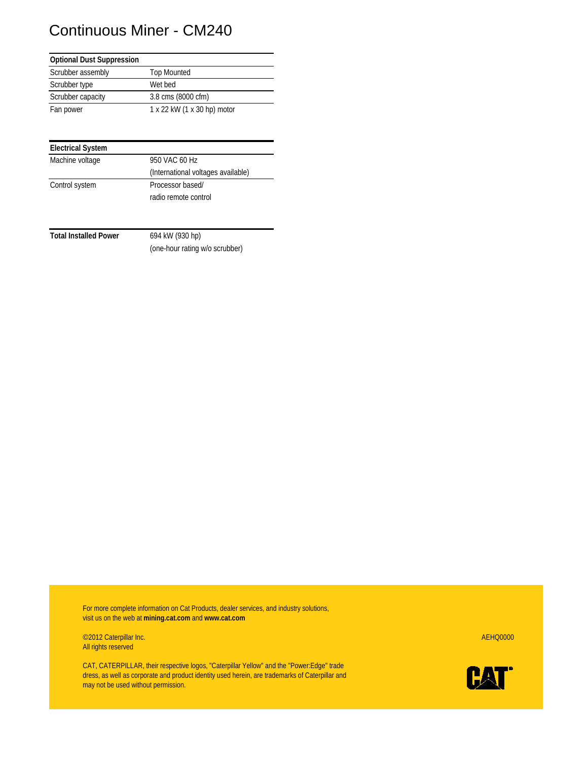## Continuous Miner - CM240

| <b>Optional Dust Suppression</b> |                             |
|----------------------------------|-----------------------------|
| Scrubber assembly                | <b>Top Mounted</b>          |
| Scrubber type                    | Wet bed                     |
| Scrubber capacity                | 3.8 cms (8000 cfm)          |
| Fan power                        | 1 x 22 kW (1 x 30 hp) motor |

| <b>Electrical System</b> |                                    |
|--------------------------|------------------------------------|
| Machine voltage          | 950 VAC 60 Hz                      |
|                          | (International voltages available) |
| Control system           | Processor based/                   |
|                          | radio remote control               |

Total Installed Power 694 kW (930 hp)

(one-hour rating w/o scrubber)

For more complete information on Cat Products, dealer services, and industry solutions, visit us on the web at **mining.cat.com** and **www.cat.com**

©2012 Caterpillar Inc. AEHQ0000 All rights reserved

CAT, CATERPILLAR, their respective logos, "Caterpillar Yellow" and the "Power:Edge" trade dress, as well as corporate and product identity used herein, are trademarks of Caterpillar and may not be used without permission.